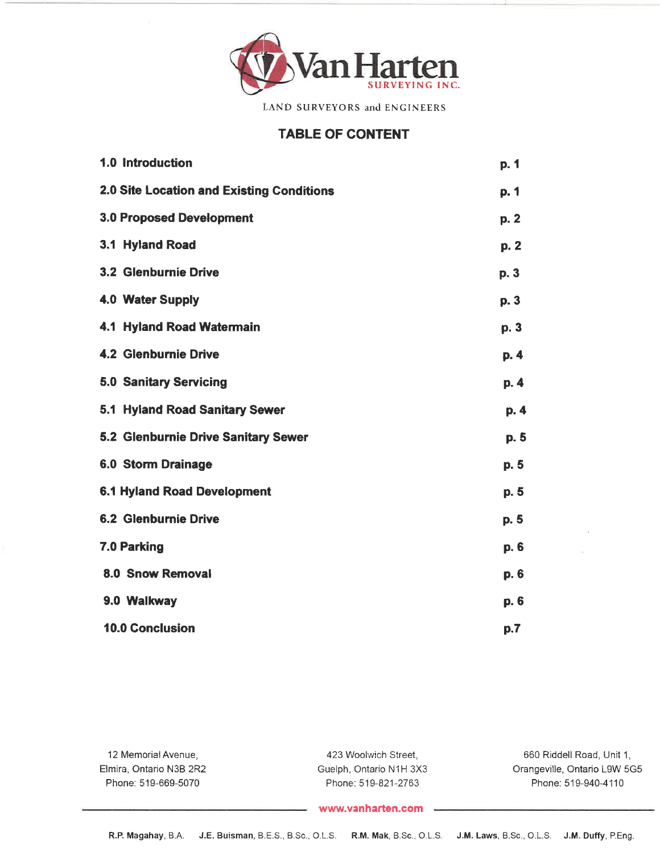

LAND SURVEYORS and ENGINEERS

# TABLE OF CONTENT

| 1.0 Introduction                          | p. 1 |
|-------------------------------------------|------|
| 2.0 Site Location and Existing Conditions | p. 1 |
| <b>3.0 Proposed Development</b>           | p.2  |
| 3.1 Hyland Road                           | p.2  |
| 3.2 Glenburnie Drive                      | p. 3 |
| 4.0 Water Supply                          | p.3  |
| 4.1 Hyland Road Watermain                 | p. 3 |
| <b>4.2 Glenburnie Drive</b>               | p.4  |
| <b>5.0 Sanitary Servicing</b>             | p.4  |
| 5.1 Hyland Road Sanitary Sewer            | p. 4 |
| 5.2 Glenburnie Drive Sanitary Sewer       | p. 5 |
| <b>6.0 Storm Drainage</b>                 | p. 5 |
| <b>6.1 Hyland Road Development</b>        | p.5  |
| <b>6.2 Glenburnie Drive</b>               | p. 5 |
| 7.0 Parking                               | p. 6 |
| 8.0 Snow Removal                          | p. 6 |
| 9.0 Walkway                               | p.6  |
| <b>10.0 Conclusion</b>                    | p.7  |

| 12 Memorial Avenue,     | 423 Woolwich Street.    | 660 Riddell Road, Unit 1.    |
|-------------------------|-------------------------|------------------------------|
| Elmira, Ontario N3B 2R2 | Guelph, Ontario N1H 3X3 | Orangeville, Ontario L9W 5G5 |
| Phone: 519-669-5070     | Phone: 519-821-2763     | Phone: 519-940-4110          |

#### www.vanharten.com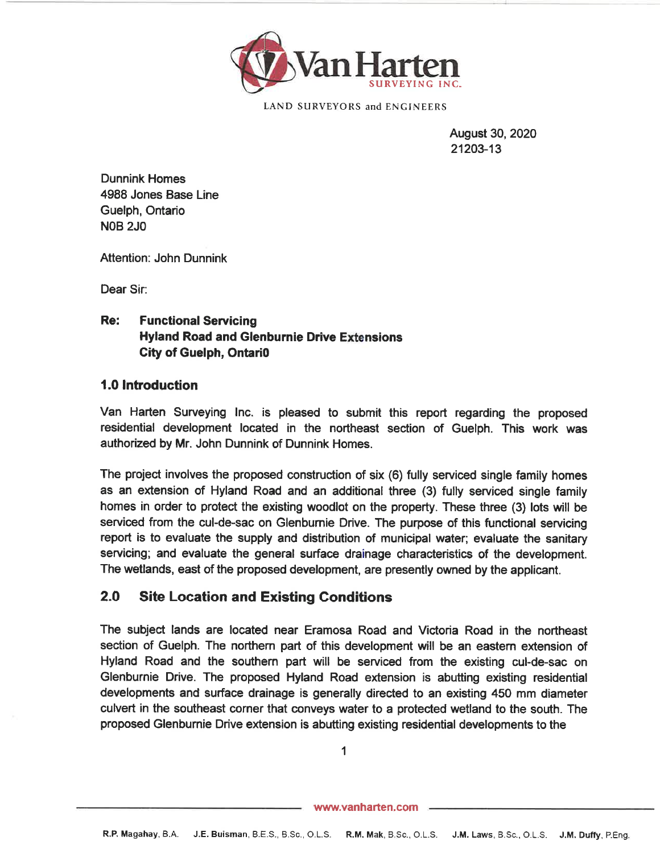

LAND SURVEYORS and ENGINEERS

August 30,202021203-13

Dunnink Homes 4988 Jones Base LineGuelph, OntarioNOB 2JO

Attention: John Dunnink

Dear Sir:

#### Re:Functional Servicing Hyland Road and Glenburnie Drive ExtensionsGity of Guelph, Ontari0

#### 1.0 lntroduction

Van Harten Surveying lnc. is pleased to submit this report regarding the proposed residential development located in the northeast section of Guelph. This work wasauthorized by Mr. John Dunnink of Dunnink Homes.

The project involves the proposed construction of six (6) fully serviced single family homes as an extension of Hyland Road and an additional three (3) fully serviced single familyhomes in order to protect the existing woodlot on the property. These three (3) lots will be serviced from the cul-de-sac on Glenbumie Drive. The purpose of this functional servicing report is to evaluate the supply and distribution of municipal water; evaluate the sanitary servicing; and evaluate the general surface drainage characteristics of the development.The wetlands, east of the proposed development, are presently owned by the applicant.

# 2.0 Site Location and Existing Gonditions

The subject lands are located near Eramosa Road and Victoria Road in the northeast section of Guelph. The northem part of this development will be an eastem extension ofHyland Road and the southern part will be serviced from the existing cul-de-sac on Glenburnie Drive. The proposed Hyland Road extension is abutting existing residential developments and surface drainage is generally directed to an existing 450 mm diameter culvert in the southeast corner that conveys water to a protected wetland to the south. Theproposed Glenburnie Drive extension is abutting existing residential developments to the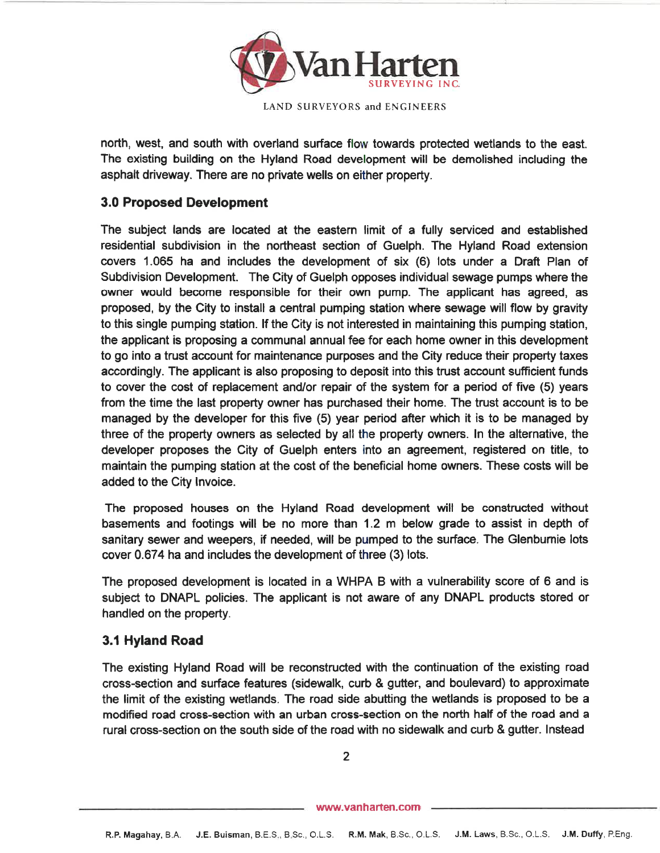

north, west, and south with overland surface flow towards protected wetlands to the east.The existing building on the Hyland Road development will be demolished including theasphalt driveway. There are no private wells on either property.

# 3.0 Proposed Development

The subject lands are located at the eastern limit of a fully serviced and established residential subdivision in the northeast section of Guelph. The Hyland Road extension covers 1.065 ha and includes the development of six (6) lots under a Draft Plan ofSubdivision Development. The City of Guelph opposes individual sewage pumps where the ovvner would become responsible for their own pump. The applicant has agreed, as proposed, by the City to install a central pumping station where sewage will flow by gravity to this single pumping station. lf the City is not interested in maintaining this pumping station,the applicant is proposing a communal annual fee for each home owner in this development to go into a trust account for maintenance purposes and the City reduce their property taxes accordingly. The applicant is also proposing to deposit into this trust account sufficient funds to cover the cost of replacement andlor repair of the system for a period of five (5) years from the time the last property owner has purchased their home. The trust account is to be managed by the developer for this five (5) year period after which it is to be managed bythree of the property owners as selected by all the property owners. In the alternative, the developer proposes the City of Guelph enters into an agreement, registered on title, to maintain the pumping station at the cost of the beneficial home owners. These costs will beadded to the City lnvoice.

The proposed houses on the Hyland Road development will be constructed withoutbasements and footings will be no more than 1.2 m below grade to assist in depth ofsanitary sewer and weepers, if needed, will be pumped to the surface. The Glenburnie lots cover 0.674 ha and includes the development of three (3) lots.

The proposed development is located in a WHPA B with a vulnerability score of 6 and is subject to DNAPL policies. The applicant is not aware of any DNAPL products stored orhandled on the property.

# 3.1 Hyland Road

The existing Hyland Road will be reconstructed with the continuation of the existing road cross-section and surface features (sidewalk, curb & gutter, and boulevard) to approximate the limit of the existing wetlands. The road side abutting the wetlands is proposed to be a modified road cross-section with an urban cross-section on the north half of the road and arural cross-section on the south side of the road with no sidewalk and curb & gutter. lnstead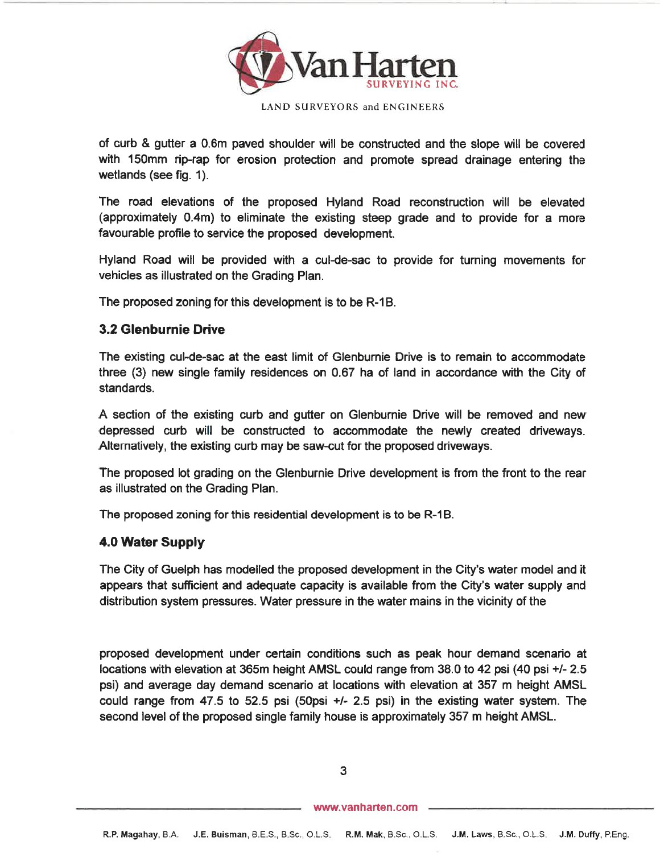

LAND SURVEYORS and ENGINEERS

of curb & gutter a 0.6m paved shoulder will be constructed and the slope will be covered with 150mm rip-rap for erosion protec{ion and promote spread drainage entering thewetlands (see fig. 1).

The road elevations of the proposed Hyland Road reconstruction will be elevated (approximately 0.4m) to eliminate the existing steep grade and to provide for a morefavourable profile to service the proposed development.

Hyland Road will be provided with a cul-de-sac to provide for tuming movements forvehicles as illustrated on the Grading Plan.

The proposed zoning for this development is to be R-18.

#### 3.2 Glenburnie Drive

The existing cul-de-sac at the east limit of Glenbumie Drive is to remain to accommodate three (3) new single family residences on 0.67 ha of land in accordance with the Gity ofstandards.

A section of the existing curb and gutter on Glenburnie Drive will be removed and newdepressed curb will be constructed to accommodate the newly created driveways Alternatively, the existing curb may be saw-cut for the proposed driveways.

The proposed lot grading on the Glenburnie Drive development is from the front to the rearas illustrated on the Grading Plan.

The proposed zoning for this residential development is to be R-1B.

#### 4.0 Water Supply

The City of Guelph has modelled the proposed development in the City's water model and itappears that sufficient and adequate capacity is available from the City's water supply anddistribution system pressures. Water pressure in the water mains in the vicinity of the

proposed development under certain conditions such as peak hour demand scenario atlocations with elevation at 365m height AMSL could range from 38.0 to 42 psi (40 psi +l- 2.5 psi) and average day demand scenario at locations with elevation at 357 m height AMSLcould range from 47.5 to 52.5 psi (50psi +/- 2.5 psi) in the existing water system. The second level of the proposed single family house is approximately 357 m height AMSL.

3

www.vanharten.com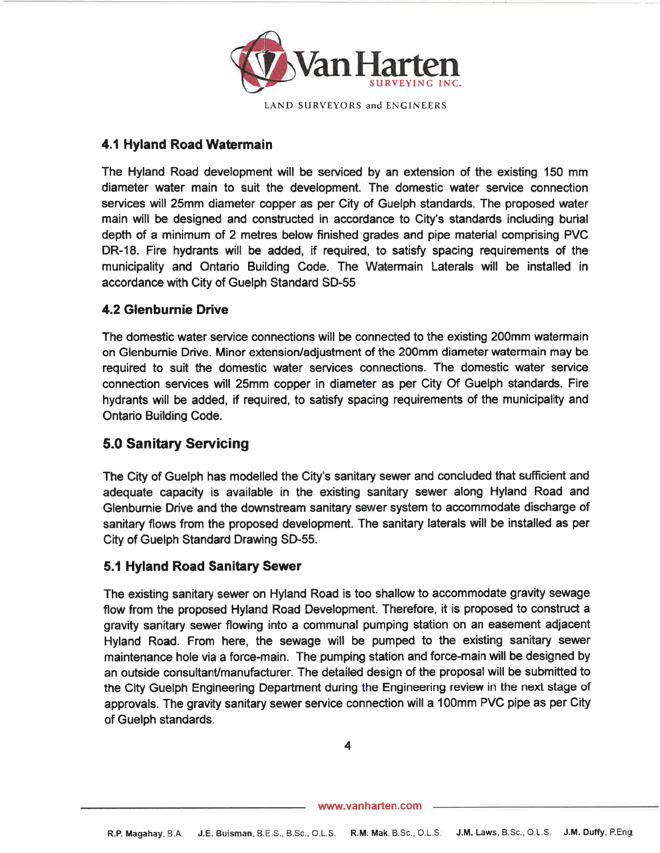

## 4.1 Hyland Road Watermain

The Hyland Road development will be serviced by an extension of the existing 150 mm diameter water main to suit the development. The domestic water service connection services will 25mm diameter copper as per City of Guelph standards. The proposed water main will be designed and constructed in accordance to City's standards including burialdepth of a minimum of 2 metres below finished grades and pipe material comprisíng PVC DR-18. Fire hydrants will be added, if required, to satisfy spacing requirements of the municipality and Ontario Building Code. The Watermain Laterals will be installed inaccordance with City of Guelph Standard SD-55

## 4.2 Glenburnie Drive

The domestic water service connections will be connected to the existing 200mm watermainon Glenburnie Drive. Minor extension/adjustment of the 200mm diameter watermain may be required to suit the domestic water services connections. The domestic water service connection services will 25mm copper in diameter as per City Of Guelph standards. Fire hydrants will be added, if required, to satisfy spacing requirements of the municipality andOntario Building Code.

# 5.0 Sanitary Servicing

The City of Guelph has modelled the City's sanitary sewer and concluded that sufficient and adequate capacity is available in the existing sanitary sewer along Hyland Road and Glenbumie Drive and the downstream sanitary sewer systern to accommodate discharge ofsanitary flows from the proposed development. The sanitary laterals will be installed as per City of Guelph Standard Drawing SD-55.

#### 5.1 Hyland Road Sanitary Sewer

The existing sanitary sewer on Hyland Road is too shallow to accommodate gravity sewageflow from the proposed Hyland Road Development. Therefore, it is proposed to construct a gravity sanitary sewer flowing into a communal pumping station on an easement adjacent Hyland Road. From here, the sewage will be pumped to the existing sanitary sewer maintenance hole via a force-main. The pumping station and force-main will be designed byan outside consultant/manufacturer. The detailed design of the proposal will be submitted to the City Guelph Engineering Department during the Engineering review in the next stage of approvals. The gravity sanitary sewer service connection will a 100mm PVC pipe as per Cityof Guelph standards.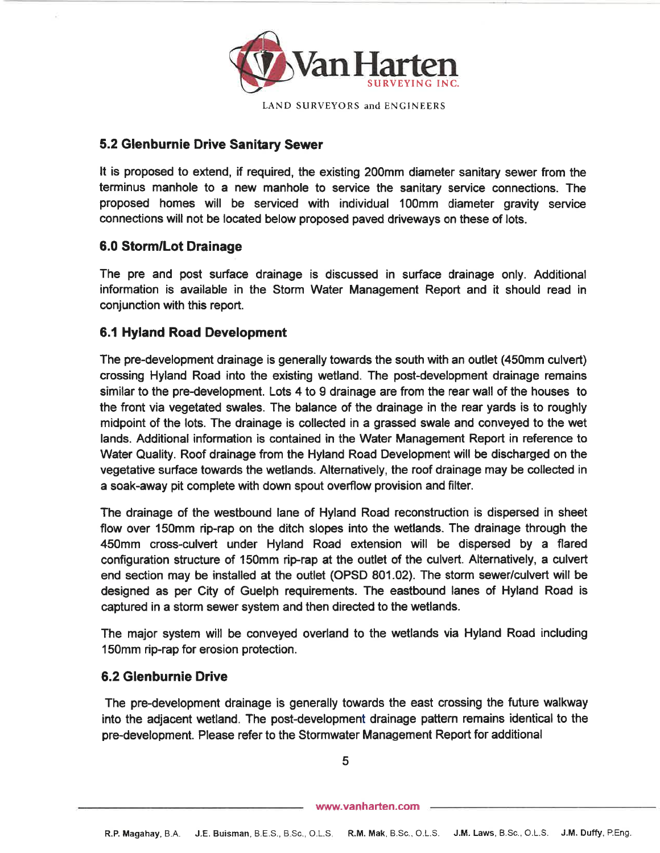

#### 5.2 Glenburnie Drive Sanitary Sewer

It is proposed to extend, if required, the existing 200mm diameter sanitary sewer from the terminus manhole to a new manhole to service the sanitary service connections. The proposed homes will be serviced with individual 100mm diameter gravity serviceconnections will not be located below proposed paved driveways on these of lots.

# 6.0 Storm/Lot Drainage

The pre and post surface drainage is discussed in surface drainage only. Additional information is available in the Storm Water Management Report and it should read inconjunction with this report.

## 6.1 Hyland Road Development

The pre-development drainage is generally towards the south with an outlet (450mm culvert)crossing Hyland Road into the existing wetland. The post-development drainage remainssimilar to the pre-development. Lots 4 to 9 drainage are from the rear wall of the houses to the front via vegetated swales. The balance of the drainage in the rear yards is to roughly midpoint of the lots. The drainage is collected in a grassed swale and conveyed to the wetlands. Additional information is contained in the Water Management Report in reference to Water Quality. Roof drainage from the Hyland Road Development will be discharged on the vegetative surface towards the wetlands. Alternatively, the roof drainage may be collected ina soak-away pit complete with down spout overflow provision and filter.

The drainage of the westbound lane of Hyland Road reconstruction is dispersed in sheetflow over 150mm rip-rap on the ditch slopes into the wetlands. The drainage through the 450mm cross-culvert under Hyland Road extension will be dispersed by a flared configuration structure of 150mm rip-rap at the outlet of the culvert. Alternatively, a culverl end section may be installed at the outlet (OPSD 801.02). The storm sewer/culvert will be designed as per City of Guelph requirements. The eastbound lanes of Hyland Road iscaptured in a storm sewer system and then directed to the wetlands.

The major system will be conveyed overland to the wetlands via Hyland Road including150mm rip-rap for erosion protection.

#### 6.2 Glenburn¡e Drive

The pre-development drainage is generally towards the east crossing the future walkwayinto the adjacent wetland. The post-development drainage pattern remains identical to the pre-development. Please refer to the Stormwater Management Report for additional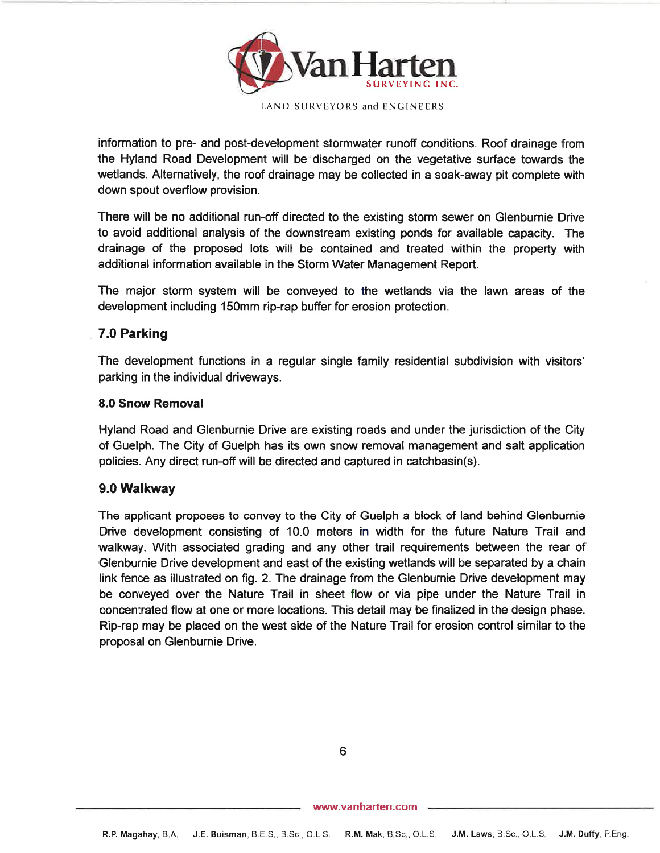

LAND SURVEYORS and ENCINEERS

information to pre- and post-development stormwater runoff conditions. Roof drainage from the Hyland Road Development will be discharged on the vegetative surface towards the wetlands. Alternatively, the roof drainage may be collected in a soak-away pit complete withdown spout overflow provision.

There will be no additional run-off directed to the existing storm sewer on Glenburnie Drive to avoid additional analysis of the downstream existing ponds for available capacity. The drainage of the proposed lots will be contained and treated within the property withadditional information available in the Storm Water Management Report.

The major storm system will be conveyed to the wetlands via the lawn areas of thedevelopment including 150mm rip-rap buffer for erosion protection.

## 7.0 Parking

The development functions in a regular single family residential subdivision with visitors' parking in the individual driveways.

#### 8.0 Snow Removal

Hyland Road and Glenburnie Drive are existing roads and under the jurisdiction of the City of Guelph. The City of Guelph has its own snow removal management and salt applicationpolicies. Any direct run-off will be directed and captured in catchbasin(s).

#### 9.0 Walkway

The applicant proposes to convey to the City of Guelph a block of land behind Glenburnie Drive development consisting of 10.0 meters in width for the future Nature Trail and walkway. With associated grading and any other trail requirements between the rear of Glenburnie Drive development and east of the existing wetlands will be separated by a chain link fence as illustrated on fig. 2. The drainage from the Glenburnie Drive development may be conveyed over the Nature Trail in sheet flow or via pipe under the Nature Trail in concentrated flow at one or more locations. This detail may be finalized in the design phase. Rip-rap may be placed on the west side of the Nature Trail for erosion control similar to theproposal on Glenburnie Drive.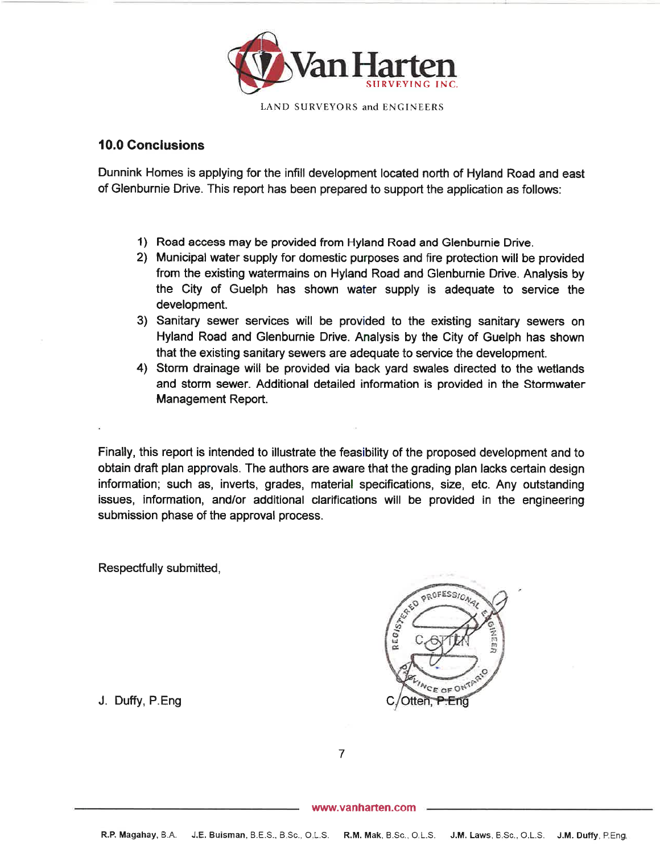

## 10.0 Gonclusions

Dunnink Homes is applying for the infill development located north of Hyland Road and eastof Glenburnie Drive. This report has been prepared to support the application as follows:

- 1) Road access may be provided from Hyland Road and Glenburnie Drive.
- 2) Municipal water supply for domestic purposes and fire protection will be provided from the existing watermains on Hyland Road and Glenburnie Drive. Analysis by the City of Guelph has shown water supply is adequate to service thedevelopment.
- 3) Sanitary sewer services will be provided to the existing sanitary sewers on Hyland Road and Glenburnie Drive. Analysis by the City of Guelph has shownthat the existing sanitary sewers are adequate to service the development.
- 4) Storm drainage will be provided via back yard swales directed to the wetlands and storm sewer. Additional detailed information is provided in the StormwaterManagement Report.

Finally, this report is intended to illustrate the feasibility of the proposed development and toobtain draft plan approvals. The authors are aware that the grading plan lacks certain desigr nformation; such as, inverts, grades, material specifications, size, etc. Any outstanding ssues, information, and/or additional clarifications will be provided in the engineering submission phase of the approval process.

Respectfully submitted,



J. Duffy, P.Eng

7

www.vanharten.com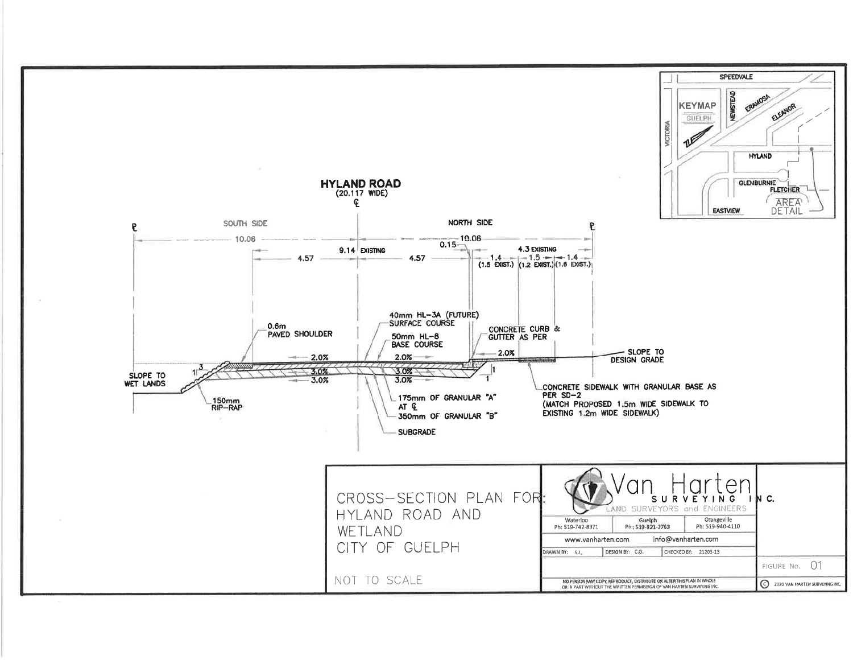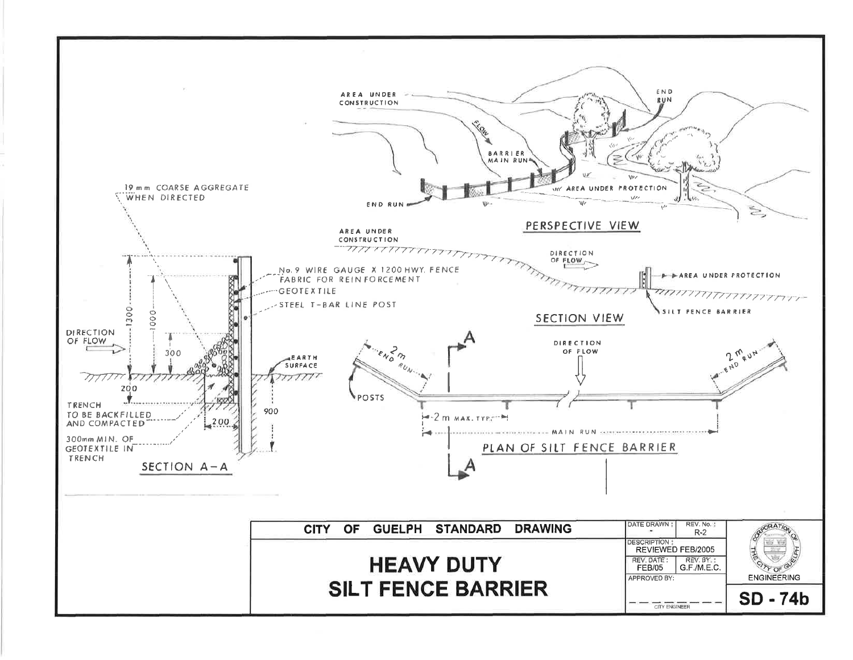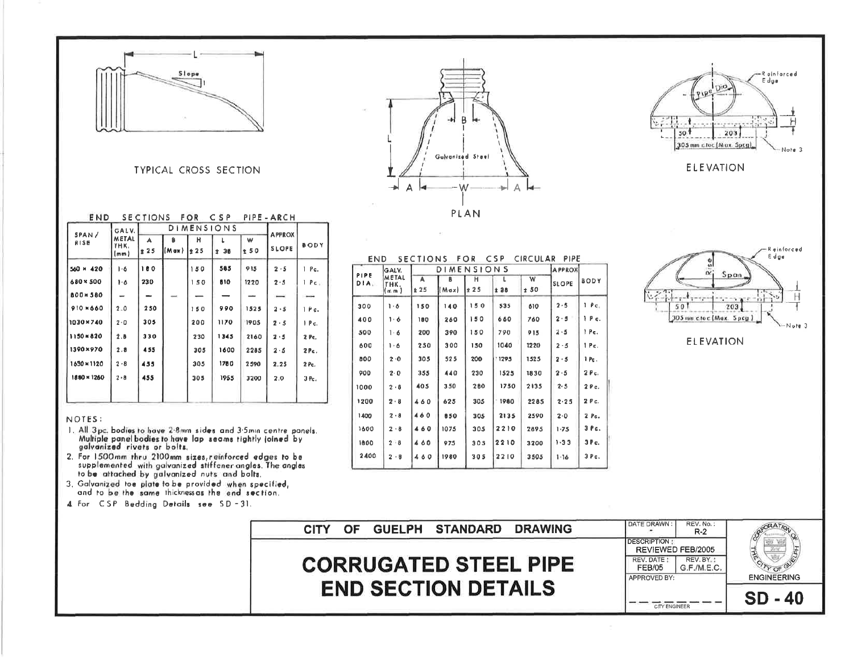

**TYPICAL CROSS SECTION** 

| END         |                              | <b>SECTIONS</b>   |       | FOR   | CSP  |               | PIPE - ARCH  |                 |  |             |
|-------------|------------------------------|-------------------|-------|-------|------|---------------|--------------|-----------------|--|-------------|
| SPAN/       | GALV.                        | <b>DIMENSIONS</b> |       |       |      | <b>APPROX</b> |              |                 |  |             |
| RISE        | <b>METAL</b><br>THK.<br>(mm) |                   |       | A     | B    | н             |              | w               |  | <b>BODY</b> |
|             |                              | 25                | (Max) | $*25$ | ± 30 | 250           | <b>SLOPE</b> |                 |  |             |
| 560 M 420   | $1-6$                        | 180               |       | 150   | 585  | 915           | 2.5          | $1$ $Pe.$       |  |             |
| 680 × 500   | 1.6                          | 230               |       | 150   | 810  | 1220          | 2.5          | l Post          |  |             |
| 800×580     | $\overline{\phantom{a}}$     | -                 |       |       |      |               |              | $\qquad \qquad$ |  |             |
| $910*660$   | 2.0                          | 250               |       | 150   | 990  | 1525          | $2 - 5$      | 1 P c.          |  |             |
| 1030×740    | 2.0                          | 305               |       | 200   | 1170 | 1905          | 2.5          | 1 Pc.           |  |             |
| 1150=820    | 2.8                          | 330               |       | 230   | 1345 | 2160          | 2.5          | 2 Pc.           |  |             |
| 1390×970    | 2.8                          | 455               |       | 305   | 1600 | 2285          | 2.5          | $2Pc$ .         |  |             |
| 1630×1120   | $2 - 8$                      | 455               |       | 305   | 1780 | 2590          | 2.25         | 2 Pc.           |  |             |
| 1880 × 1260 | $2 - 8$                      | 455               |       | 305   | 1955 | 3200          | 2.0          | 3Pc.            |  |             |
|             |                              |                   |       |       |      |               |              |                 |  |             |

#### NOTES:

- 1. All 3 pc. bodies to have 2.8mm sides and 3.5mm centre panels. Multiple panel bodies to have lap seams tightly joined by galvanized rivets or bolts.
- 2. For 1500mm thru 2100mm sizes, reinforced edges to be supplemented with galvanized stiffener angles. The angles to be lattached by galvanized nuts and bolts.
- 3. Galvanized toe plate to be provided when specified, and to be the same thickness as the end section.
- 4. For CSP Bedding Details see SD-31.

| P<br>Galvanized Steel              |
|------------------------------------|
| A<br>W<br>$\overline{\phantom{a}}$ |
| PLAN                               |



**ELEVATION** 



**ELEVATION** 

| GALV.<br>PIPE<br>METAL<br>DIA.<br>THK.<br>(m. m.) | <b>DIMENSIONS</b> |           |                             |           |          | <b>APPROX</b> |              |                  |
|---------------------------------------------------|-------------------|-----------|-----------------------------|-----------|----------|---------------|--------------|------------------|
|                                                   |                   | A<br>± 25 | в<br>$(x \triangleright M)$ | н<br>± 25 | ı<br>±28 | w<br>± 50     | <b>SLOPE</b> | BODY             |
| 300                                               | ۱۰δ               | 150       | 140                         | 150       | 535      | 610           | 2.5          | $1 - \rho_c$     |
| 400                                               | ه ۱۰              | 180       | 260                         | 150       | 660      | 760           | 2.5          | 1 P c.           |
| 500                                               | 1.6               | 200       | 390                         | 150       | 790      | 915           | 2.5          | 1 Pc.            |
| 600                                               | ۱۰۵               | 250       | 300                         | 150       | 1040     | 1220          | $2 - 5$      | 1 Рс.            |
| 800                                               | 2.0               | 305       | 525                         | 200       | 1295     | 1525          | 2.5          | 1 Pc.            |
| 900                                               | 2.0               | 355       | 440                         | 230       | 1525     | 1830          | 2.5          | 2 Pc.            |
| 1000                                              | 2.8               | 405       | 350                         | 280       | 1750     | 2135          | 2.5          | 2 Pc.            |
| 1200                                              | 2.8               | 460       | 625                         | 305       | 1980     | 2285          | 2.25         | 2 Pc.            |
| 1400                                              | 2.8               | 460       | 850                         | 305       | 2135     | 2590          | 2.0          | 2.0 <sub>c</sub> |
| 1600                                              | $2 \cdot 8$       | 460       | 1075                        | 305       | 2210     | 2895          | $1 - 75$     | $3$ $Pc.$        |
| 1800                                              | $2 - 8$           | 460       | 975                         | 305       | 2210     | 3200          | $1 - 33$     | 3 P c.           |
| 2400                                              | 2.0               | 460       | 1980                        | 305       | 2210     | 3505          | $1 - 16$     | 3 Pc.            |

END SECTIONS FOR CSP CIRCULAR PIPE

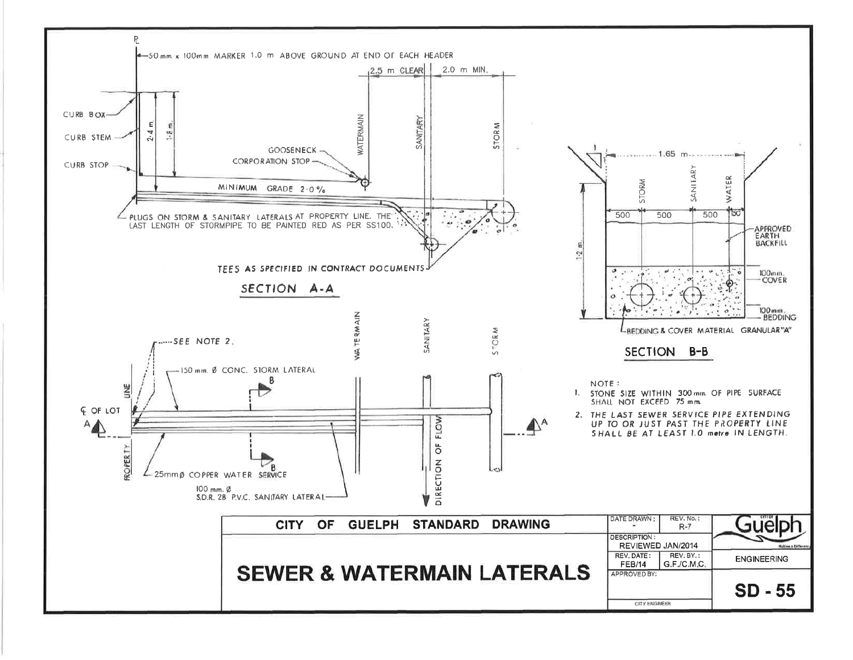